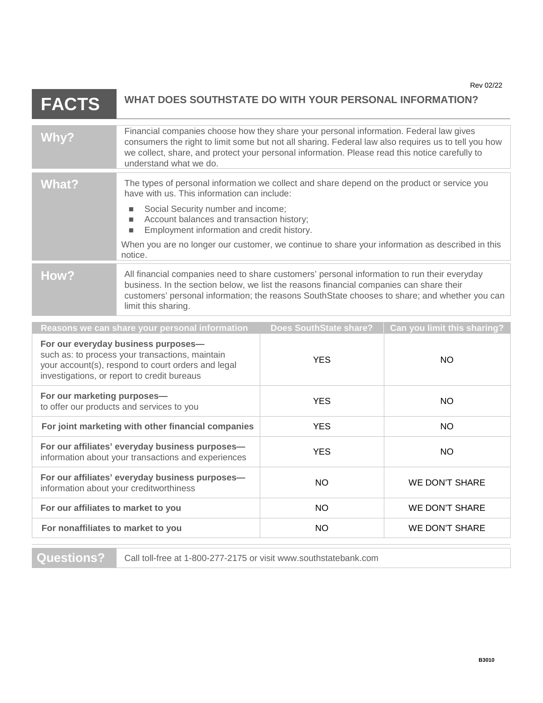| <b>FACTS</b>                                                                                                                                                                                | WHAT DOES SOUTHSTATE DO WITH YOUR PERSONAL INFORMATION?                                                                                                                                                                                                                                                                                                                                                               |            |                       |
|---------------------------------------------------------------------------------------------------------------------------------------------------------------------------------------------|-----------------------------------------------------------------------------------------------------------------------------------------------------------------------------------------------------------------------------------------------------------------------------------------------------------------------------------------------------------------------------------------------------------------------|------------|-----------------------|
| Why?                                                                                                                                                                                        | Financial companies choose how they share your personal information. Federal law gives<br>consumers the right to limit some but not all sharing. Federal law also requires us to tell you how<br>we collect, share, and protect your personal information. Please read this notice carefully to<br>understand what we do.                                                                                             |            |                       |
| <b>What?</b>                                                                                                                                                                                | The types of personal information we collect and share depend on the product or service you<br>have with us. This information can include:<br>Social Security number and income;<br>п<br>Account balances and transaction history;<br>٠<br>Employment information and credit history.<br>$\blacksquare$<br>When you are no longer our customer, we continue to share your information as described in this<br>notice. |            |                       |
| How?                                                                                                                                                                                        | All financial companies need to share customers' personal information to run their everyday<br>business. In the section below, we list the reasons financial companies can share their<br>customers' personal information; the reasons SouthState chooses to share; and whether you can<br>limit this sharing.                                                                                                        |            |                       |
| Reasons we can share your personal information<br><b>Does SouthState share?</b><br>Can you limit this sharing?                                                                              |                                                                                                                                                                                                                                                                                                                                                                                                                       |            |                       |
| For our everyday business purposes-<br>such as: to process your transactions, maintain<br>your account(s), respond to court orders and legal<br>investigations, or report to credit bureaus |                                                                                                                                                                                                                                                                                                                                                                                                                       | <b>YES</b> | <b>NO</b>             |
| For our marketing purposes-<br>to offer our products and services to you                                                                                                                    |                                                                                                                                                                                                                                                                                                                                                                                                                       | <b>YES</b> | <b>NO</b>             |
| For joint marketing with other financial companies                                                                                                                                          |                                                                                                                                                                                                                                                                                                                                                                                                                       | <b>YES</b> | <b>NO</b>             |
| For our affiliates' everyday business purposes-<br>information about your transactions and experiences                                                                                      |                                                                                                                                                                                                                                                                                                                                                                                                                       | <b>YES</b> | <b>NO</b>             |
| For our affiliates' everyday business purposes-<br>information about your creditworthiness                                                                                                  |                                                                                                                                                                                                                                                                                                                                                                                                                       | NO.        | <b>WE DON'T SHARE</b> |
| For our affiliates to market to you                                                                                                                                                         |                                                                                                                                                                                                                                                                                                                                                                                                                       | NO.        | <b>WE DON'T SHARE</b> |
| For nonaffiliates to market to you                                                                                                                                                          |                                                                                                                                                                                                                                                                                                                                                                                                                       |            |                       |

**Questions?** Call toll-free at 1-800-277-2175 or visit www.southstatebank.com